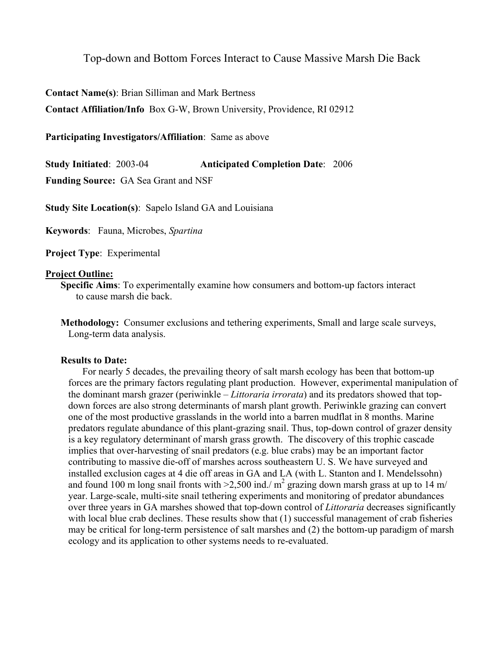# Top-down and Bottom Forces Interact to Cause Massive Marsh Die Back

**Contact Name(s)**: Brian Silliman and Mark Bertness

**Contact Affiliation/Info** Box G-W, Brown University, Providence, RI 02912

### **Participating Investigators/Affiliation**: Same as above

**Study Initiated**: 2003-04 **Anticipated Completion Date**: 2006

**Funding Source:** GA Sea Grant and NSF

**Study Site Location(s)**: Sapelo Island GA and Louisiana

**Keywords**: Fauna, Microbes, *Spartina*

**Project Type**: Experimental

### **Project Outline:**

**Specific Aims**: To experimentally examine how consumers and bottom-up factors interact to cause marsh die back.

#### **Results to Date:**

For nearly 5 decades, the prevailing theory of salt marsh ecology has been that bottom-up forces are the primary factors regulating plant production. However, experimental manipulation of the dominant marsh grazer (periwinkle – *Littoraria irrorata*) and its predators showed that topdown forces are also strong determinants of marsh plant growth. Periwinkle grazing can convert one of the most productive grasslands in the world into a barren mudflat in 8 months. Marine predators regulate abundance of this plant-grazing snail. Thus, top-down control of grazer density is a key regulatory determinant of marsh grass growth. The discovery of this trophic cascade implies that over-harvesting of snail predators (e.g. blue crabs) may be an important factor contributing to massive die-off of marshes across southeastern U. S. We have surveyed and installed exclusion cages at 4 die off areas in GA and LA (with L. Stanton and I. Mendelssohn) and found 100 m long snail fronts with  $>2,500$  ind./ m<sup>2</sup> grazing down marsh grass at up to 14 m/ year. Large-scale, multi-site snail tethering experiments and monitoring of predator abundances over three years in GA marshes showed that top-down control of *Littoraria* decreases significantly with local blue crab declines. These results show that (1) successful management of crab fisheries may be critical for long-term persistence of salt marshes and (2) the bottom-up paradigm of marsh ecology and its application to other systems needs to re-evaluated.

**Methodology:** Consumer exclusions and tethering experiments, Small and large scale surveys, Long-term data analysis.